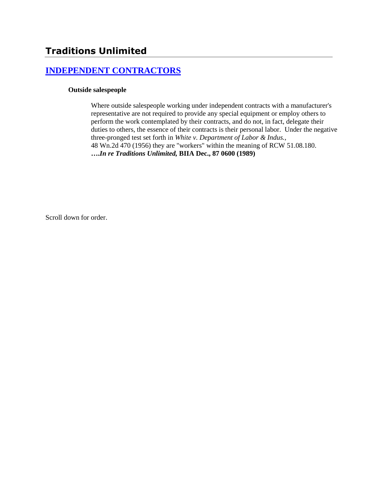# **[INDEPENDENT CONTRACTORS](http://www.biia.wa.gov/SDSubjectIndex.html#INDEPENDENT_CONTRACTORS)**

### **Outside salespeople**

Where outside salespeople working under independent contracts with a manufacturer's representative are not required to provide any special equipment or employ others to perform the work contemplated by their contracts, and do not, in fact, delegate their duties to others, the essence of their contracts is their personal labor. Under the negative three-pronged test set forth in *White v. Department of Labor & Indus.,* 48 Wn.2d 470 (1956) they are "workers" within the meaning of RCW 51.08.180. **….***In re Traditions Unlimited,* **BIIA Dec., 87 0600 (1989)** 

Scroll down for order.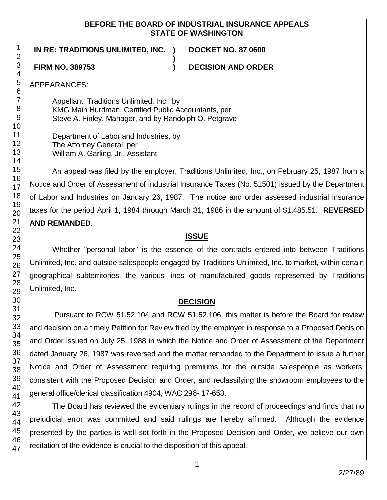### **BEFORE THE BOARD OF INDUSTRIAL INSURANCE APPEALS STATE OF WASHINGTON**

**)**

**IN RE: TRADITIONS UNLIMITED, INC. ) DOCKET NO. 87 0600**

**FIRM NO. 389753 ) DECISION AND ORDER**

APPEARANCES:

Appellant, Traditions Unlimited, Inc., by KMG Main Hurdman, Certified Public Accountants, per Steve A. Finley, Manager, and by Randolph O. Petgrave

Department of Labor and Industries, by The Attorney General, per William A. Garling, Jr., Assistant

An appeal was filed by the employer, Traditions Unlimited, Inc., on February 25, 1987 from a Notice and Order of Assessment of Industrial Insurance Taxes (No. 51501) issued by the Department of Labor and Industries on January 26, 1987. The notice and order assessed industrial insurance taxes for the period April 1, 1984 through March 31, 1986 in the amount of \$1,485.51. **REVERSED AND REMANDED**.

## **ISSUE**

Whether "personal labor" is the essence of the contracts entered into between Traditions Unlimited, Inc. and outside salespeople engaged by Traditions Unlimited, Inc. to market, within certain geographical subterritories, the various lines of manufactured goods represented by Traditions Unlimited, Inc.

## **DECISION**

Pursuant to RCW 51.52.104 and RCW 51.52.106, this matter is before the Board for review and decision on a timely Petition for Review filed by the employer in response to a Proposed Decision and Order issued on July 25, 1988 in which the Notice and Order of Assessment of the Department dated January 26, 1987 was reversed and the matter remanded to the Department to issue a further Notice and Order of Assessment requiring premiums for the outside salespeople as workers, consistent with the Proposed Decision and Order, and reclassifying the showroom employees to the general office/clerical classification 4904, WAC 296- 17-653.

The Board has reviewed the evidentiary rulings in the record of proceedings and finds that no prejudicial error was committed and said rulings are hereby affirmed. Although the evidence presented by the parties is well set forth in the Proposed Decision and Order, we believe our own recitation of the evidence is crucial to the disposition of this appeal.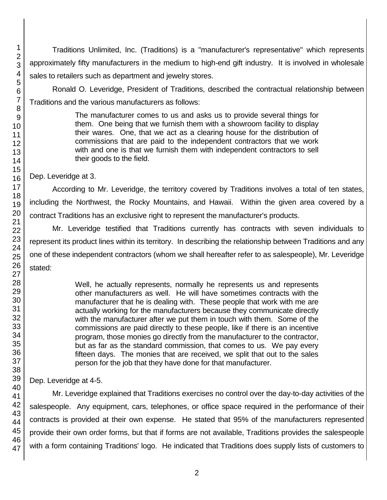Traditions Unlimited, Inc. (Traditions) is a "manufacturer's representative" which represents approximately fifty manufacturers in the medium to high-end gift industry. It is involved in wholesale sales to retailers such as department and jewelry stores.

Ronald O. Leveridge, President of Traditions, described the contractual relationship between Traditions and the various manufacturers as follows:

> The manufacturer comes to us and asks us to provide several things for them. One being that we furnish them with a showroom facility to display their wares. One, that we act as a clearing house for the distribution of commissions that are paid to the independent contractors that we work with and one is that we furnish them with independent contractors to sell their goods to the field.

Dep. Leveridge at 3.

According to Mr. Leveridge, the territory covered by Traditions involves a total of ten states, including the Northwest, the Rocky Mountains, and Hawaii. Within the given area covered by a contract Traditions has an exclusive right to represent the manufacturer's products.

Mr. Leveridge testified that Traditions currently has contracts with seven individuals to represent its product lines within its territory. In describing the relationship between Traditions and any one of these independent contractors (whom we shall hereafter refer to as salespeople), Mr. Leveridge stated:

> Well, he actually represents, normally he represents us and represents other manufacturers as well. He will have sometimes contracts with the manufacturer that he is dealing with. These people that work with me are actually working for the manufacturers because they communicate directly with the manufacturer after we put them in touch with them. Some of the commissions are paid directly to these people, like if there is an incentive program, those monies go directly from the manufacturer to the contractor, but as far as the standard commission, that comes to us. We pay every fifteen days. The monies that are received, we split that out to the sales person for the job that they have done for that manufacturer.

Dep. Leveridge at 4-5.

Mr. Leveridge explained that Traditions exercises no control over the day-to-day activities of the salespeople. Any equipment, cars, telephones, or office space required in the performance of their contracts is provided at their own expense. He stated that 95% of the manufacturers represented provide their own order forms, but that if forms are not available, Traditions provides the salespeople with a form containing Traditions' logo. He indicated that Traditions does supply lists of customers to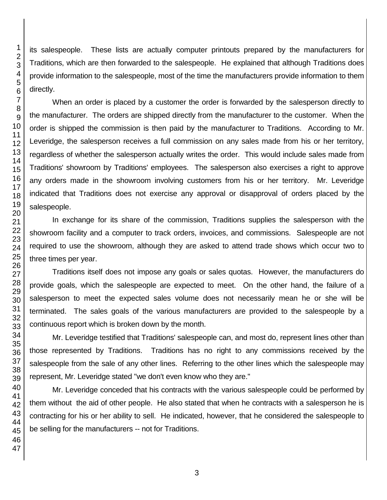its salespeople. These lists are actually computer printouts prepared by the manufacturers for Traditions, which are then forwarded to the salespeople. He explained that although Traditions does provide information to the salespeople, most of the time the manufacturers provide information to them directly.

When an order is placed by a customer the order is forwarded by the salesperson directly to the manufacturer. The orders are shipped directly from the manufacturer to the customer. When the order is shipped the commission is then paid by the manufacturer to Traditions. According to Mr. Leveridge, the salesperson receives a full commission on any sales made from his or her territory, regardless of whether the salesperson actually writes the order. This would include sales made from Traditions' showroom by Traditions' employees. The salesperson also exercises a right to approve any orders made in the showroom involving customers from his or her territory. Mr. Leveridge indicated that Traditions does not exercise any approval or disapproval of orders placed by the salespeople.

In exchange for its share of the commission, Traditions supplies the salesperson with the showroom facility and a computer to track orders, invoices, and commissions. Salespeople are not required to use the showroom, although they are asked to attend trade shows which occur two to three times per year.

Traditions itself does not impose any goals or sales quotas. However, the manufacturers do provide goals, which the salespeople are expected to meet. On the other hand, the failure of a salesperson to meet the expected sales volume does not necessarily mean he or she will be terminated. The sales goals of the various manufacturers are provided to the salespeople by a continuous report which is broken down by the month.

Mr. Leveridge testified that Traditions' salespeople can, and most do, represent lines other than those represented by Traditions. Traditions has no right to any commissions received by the salespeople from the sale of any other lines. Referring to the other lines which the salespeople may represent, Mr. Leveridge stated "we don't even know who they are."

Mr. Leveridge conceded that his contracts with the various salespeople could be performed by them without the aid of other people. He also stated that when he contracts with a salesperson he is contracting for his or her ability to sell. He indicated, however, that he considered the salespeople to be selling for the manufacturers -- not for Traditions.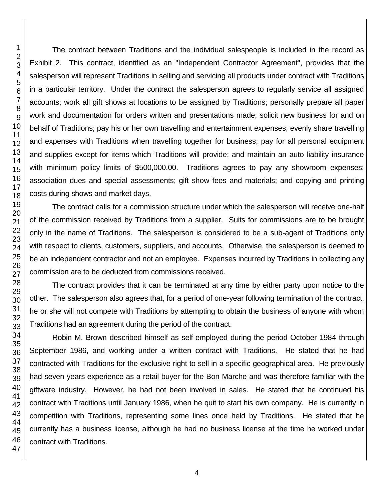The contract between Traditions and the individual salespeople is included in the record as Exhibit 2. This contract, identified as an "Independent Contractor Agreement", provides that the salesperson will represent Traditions in selling and servicing all products under contract with Traditions in a particular territory. Under the contract the salesperson agrees to regularly service all assigned accounts; work all gift shows at locations to be assigned by Traditions; personally prepare all paper work and documentation for orders written and presentations made; solicit new business for and on behalf of Traditions; pay his or her own travelling and entertainment expenses; evenly share travelling and expenses with Traditions when travelling together for business; pay for all personal equipment and supplies except for items which Traditions will provide; and maintain an auto liability insurance with minimum policy limits of \$500,000.00. Traditions agrees to pay any showroom expenses; association dues and special assessments; gift show fees and materials; and copying and printing costs during shows and market days.

The contract calls for a commission structure under which the salesperson will receive one-half of the commission received by Traditions from a supplier. Suits for commissions are to be brought only in the name of Traditions. The salesperson is considered to be a sub-agent of Traditions only with respect to clients, customers, suppliers, and accounts. Otherwise, the salesperson is deemed to be an independent contractor and not an employee. Expenses incurred by Traditions in collecting any commission are to be deducted from commissions received.

The contract provides that it can be terminated at any time by either party upon notice to the other. The salesperson also agrees that, for a period of one-year following termination of the contract, he or she will not compete with Traditions by attempting to obtain the business of anyone with whom Traditions had an agreement during the period of the contract.

Robin M. Brown described himself as self-employed during the period October 1984 through September 1986, and working under a written contract with Traditions. He stated that he had contracted with Traditions for the exclusive right to sell in a specific geographical area. He previously had seven years experience as a retail buyer for the Bon Marche and was therefore familiar with the giftware industry. However, he had not been involved in sales. He stated that he continued his contract with Traditions until January 1986, when he quit to start his own company. He is currently in competition with Traditions, representing some lines once held by Traditions. He stated that he currently has a business license, although he had no business license at the time he worked under contract with Traditions.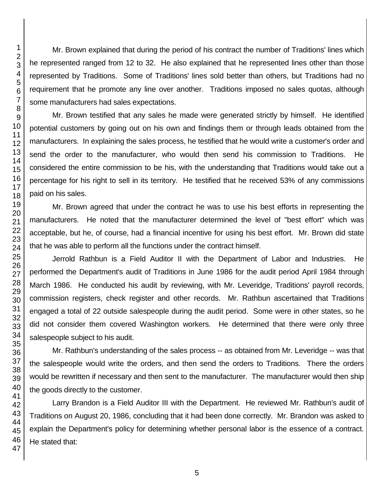Mr. Brown explained that during the period of his contract the number of Traditions' lines which he represented ranged from 12 to 32. He also explained that he represented lines other than those represented by Traditions. Some of Traditions' lines sold better than others, but Traditions had no requirement that he promote any line over another. Traditions imposed no sales quotas, although some manufacturers had sales expectations.

Mr. Brown testified that any sales he made were generated strictly by himself. He identified potential customers by going out on his own and findings them or through leads obtained from the manufacturers. In explaining the sales process, he testified that he would write a customer's order and send the order to the manufacturer, who would then send his commission to Traditions. He considered the entire commission to be his, with the understanding that Traditions would take out a percentage for his right to sell in its territory. He testified that he received 53% of any commissions paid on his sales.

Mr. Brown agreed that under the contract he was to use his best efforts in representing the manufacturers. He noted that the manufacturer determined the level of "best effort" which was acceptable, but he, of course, had a financial incentive for using his best effort. Mr. Brown did state that he was able to perform all the functions under the contract himself.

Jerrold Rathbun is a Field Auditor II with the Department of Labor and Industries. He performed the Department's audit of Traditions in June 1986 for the audit period April 1984 through March 1986. He conducted his audit by reviewing, with Mr. Leveridge, Traditions' payroll records, commission registers, check register and other records. Mr. Rathbun ascertained that Traditions engaged a total of 22 outside salespeople during the audit period. Some were in other states, so he did not consider them covered Washington workers. He determined that there were only three salespeople subject to his audit.

Mr. Rathbun's understanding of the sales process -- as obtained from Mr. Leveridge -- was that the salespeople would write the orders, and then send the orders to Traditions. There the orders would be rewritten if necessary and then sent to the manufacturer. The manufacturer would then ship the goods directly to the customer.

Larry Brandon is a Field Auditor III with the Department. He reviewed Mr. Rathbun's audit of Traditions on August 20, 1986, concluding that it had been done correctly. Mr. Brandon was asked to explain the Department's policy for determining whether personal labor is the essence of a contract. He stated that: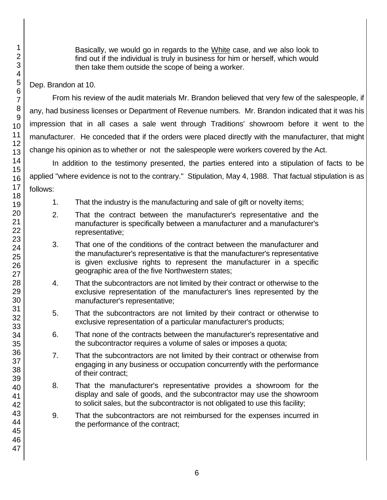Basically, we would go in regards to the White case, and we also look to find out if the individual is truly in business for him or herself, which would then take them outside the scope of being a worker.

### Dep. Brandon at 10.

From his review of the audit materials Mr. Brandon believed that very few of the salespeople, if any, had business licenses or Department of Revenue numbers. Mr. Brandon indicated that it was his impression that in all cases a sale went through Traditions' showroom before it went to the manufacturer. He conceded that if the orders were placed directly with the manufacturer, that might change his opinion as to whether or not the salespeople were workers covered by the Act.

In addition to the testimony presented, the parties entered into a stipulation of facts to be applied "where evidence is not to the contrary." Stipulation, May 4, 1988. That factual stipulation is as follows:

- 1. That the industry is the manufacturing and sale of gift or novelty items;
- 2. That the contract between the manufacturer's representative and the manufacturer is specifically between a manufacturer and a manufacturer's representative;
- 3. That one of the conditions of the contract between the manufacturer and the manufacturer's representative is that the manufacturer's representative is given exclusive rights to represent the manufacturer in a specific geographic area of the five Northwestern states;
- 4. That the subcontractors are not limited by their contract or otherwise to the exclusive representation of the manufacturer's lines represented by the manufacturer's representative;
- 5. That the subcontractors are not limited by their contract or otherwise to exclusive representation of a particular manufacturer's products;
- 6. That none of the contracts between the manufacturer's representative and the subcontractor requires a volume of sales or imposes a quota;
- 7. That the subcontractors are not limited by their contract or otherwise from engaging in any business or occupation concurrently with the performance of their contract;
- 8. That the manufacturer's representative provides a showroom for the display and sale of goods, and the subcontractor may use the showroom to solicit sales, but the subcontractor is not obligated to use this facility;
- 9. That the subcontractors are not reimbursed for the expenses incurred in the performance of the contract;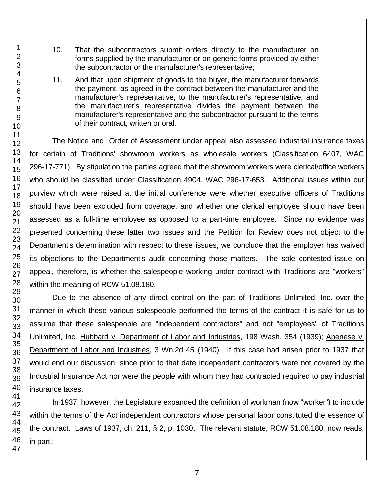- 10. That the subcontractors submit orders directly to the manufacturer on forms supplied by the manufacturer or on generic forms provided by either the subcontractor or the manufacturer's representative;
- 11. And that upon shipment of goods to the buyer, the manufacturer forwards the payment, as agreed in the contract between the manufacturer and the manufacturer's representative, to the manufacturer's representative, and the manufacturer's representative divides the payment between the manufacturer's representative and the subcontractor pursuant to the terms of their contract, written or oral.

The Notice and Order of Assessment under appeal also assessed industrial insurance taxes for certain of Traditions' showroom workers as wholesale workers (Classification 6407, WAC 296-17-771). By stipulation the parties agreed that the showroom workers were clerical/office workers who should be classified under Classification 4904, WAC 296-17-653. Additional issues within our purview which were raised at the initial conference were whether executive officers of Traditions should have been excluded from coverage, and whether one clerical employee should have been assessed as a full-time employee as opposed to a part-time employee. Since no evidence was presented concerning these latter two issues and the Petition for Review does not object to the Department's determination with respect to these issues, we conclude that the employer has waived its objections to the Department's audit concerning those matters. The sole contested issue on appeal, therefore, is whether the salespeople working under contract with Traditions are "workers" within the meaning of RCW 51.08.180.

Due to the absence of any direct control on the part of Traditions Unlimited, Inc. over the manner in which these various salespeople performed the terms of the contract it is safe for us to assume that these salespeople are "independent contractors" and not "employees" of Traditions Unlimited, Inc. Hubbard v. Department of Labor and Industries, 198 Wash. 354 (1939); Apenese v. Department of Labor and Industries, 3 Wn.2d 45 (1940). If this case had arisen prior to 1937 that would end our discussion, since prior to that date independent contractors were not covered by the Industrial Insurance Act nor were the people with whom they had contracted required to pay industrial insurance taxes.

In 1937, however, the Legislature expanded the definition of workman (now "worker") to include within the terms of the Act independent contractors whose personal labor constituted the essence of the contract. Laws of 1937, ch. 211, § 2, p. 1030. The relevant statute, RCW 51.08.180, now reads, in part,:

1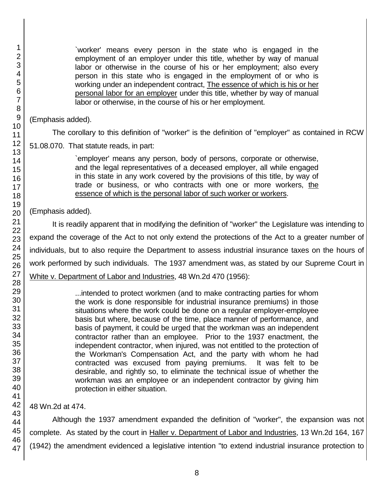`worker' means every person in the state who is engaged in the employment of an employer under this title, whether by way of manual labor or otherwise in the course of his or her employment; also every person in this state who is engaged in the employment of or who is working under an independent contract, The essence of which is his or her personal labor for an employer under this title, whether by way of manual labor or otherwise, in the course of his or her employment.

(Emphasis added).

The corollary to this definition of "worker" is the definition of "employer" as contained in RCW

51.08.070. That statute reads, in part:

`employer' means any person, body of persons, corporate or otherwise, and the legal representatives of a deceased employer, all while engaged in this state in any work covered by the provisions of this title, by way of trade or business, or who contracts with one or more workers, the essence of which is the personal labor of such worker or workers.

(Emphasis added).

It is readily apparent that in modifying the definition of "worker" the Legislature was intending to expand the coverage of the Act to not only extend the protections of the Act to a greater number of individuals, but to also require the Department to assess industrial insurance taxes on the hours of work performed by such individuals. The 1937 amendment was, as stated by our Supreme Court in White v. Department of Labor and Industries, 48 Wn.2d 470 (1956):

> ...intended to protect workmen (and to make contracting parties for whom the work is done responsible for industrial insurance premiums) in those situations where the work could be done on a regular employer-employee basis but where, because of the time, place manner of performance, and basis of payment, it could be urged that the workman was an independent contractor rather than an employee. Prior to the 1937 enactment, the independent contractor, when injured, was not entitled to the protection of the Workman's Compensation Act, and the party with whom he had contracted was excused from paying premiums. It was felt to be desirable, and rightly so, to eliminate the technical issue of whether the workman was an employee or an independent contractor by giving him protection in either situation.

48 Wn.2d at 474.

Although the 1937 amendment expanded the definition of "worker", the expansion was not complete. As stated by the court in Haller v. Department of Labor and Industries, 13 Wn.2d 164, 167 (1942) the amendment evidenced a legislative intention "to extend industrial insurance protection to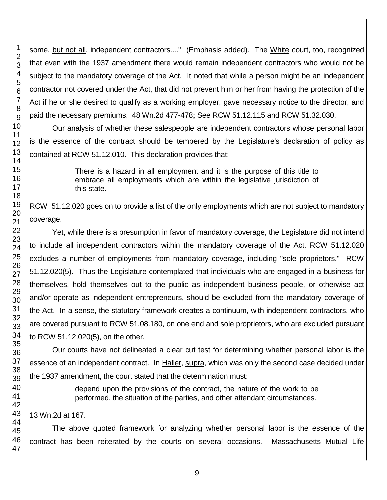some, but not all, independent contractors...." (Emphasis added). The White court, too, recognized that even with the 1937 amendment there would remain independent contractors who would not be subject to the mandatory coverage of the Act. It noted that while a person might be an independent contractor not covered under the Act, that did not prevent him or her from having the protection of the Act if he or she desired to qualify as a working employer, gave necessary notice to the director, and paid the necessary premiums. 48 Wn.2d 477-478; See RCW 51.12.115 and RCW 51.32.030.

Our analysis of whether these salespeople are independent contractors whose personal labor is the essence of the contract should be tempered by the Legislature's declaration of policy as contained at RCW 51.12.010. This declaration provides that:

> There is a hazard in all employment and it is the purpose of this title to embrace all employments which are within the legislative jurisdiction of this state.

RCW 51.12.020 goes on to provide a list of the only employments which are not subject to mandatory coverage.

Yet, while there is a presumption in favor of mandatory coverage, the Legislature did not intend to include all independent contractors within the mandatory coverage of the Act. RCW 51.12.020 excludes a number of employments from mandatory coverage, including "sole proprietors." RCW 51.12.020(5). Thus the Legislature contemplated that individuals who are engaged in a business for themselves, hold themselves out to the public as independent business people, or otherwise act and/or operate as independent entrepreneurs, should be excluded from the mandatory coverage of the Act. In a sense, the statutory framework creates a continuum, with independent contractors, who are covered pursuant to RCW 51.08.180, on one end and sole proprietors, who are excluded pursuant to RCW 51.12.020(5), on the other.

Our courts have not delineated a clear cut test for determining whether personal labor is the essence of an independent contract. In Haller, supra, which was only the second case decided under the 1937 amendment, the court stated that the determination must:

> depend upon the provisions of the contract, the nature of the work to be performed, the situation of the parties, and other attendant circumstances.

13 Wn.2d at 167.

The above quoted framework for analyzing whether personal labor is the essence of the contract has been reiterated by the courts on several occasions. Massachusetts Mutual Life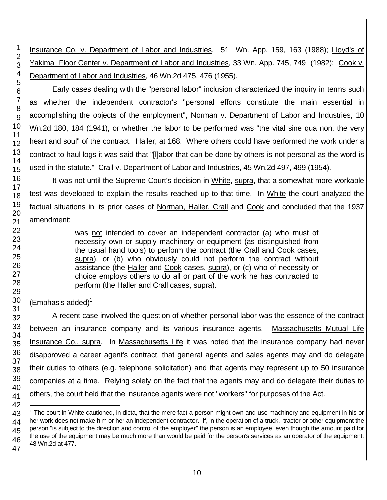Insurance Co. v. Department of Labor and Industries, 51 Wn. App. 159, 163 (1988); Lloyd's of Yakima Floor Center v. Department of Labor and Industries, 33 Wn. App. 745, 749 (1982); Cook v. Department of Labor and Industries, 46 Wn.2d 475, 476 (1955).

Early cases dealing with the "personal labor" inclusion characterized the inquiry in terms such as whether the independent contractor's "personal efforts constitute the main essential in accomplishing the objects of the employment", Norman v. Department of Labor and Industries, 10 Wn.2d 180, 184 (1941), or whether the labor to be performed was "the vital sine qua non, the very heart and soul" of the contract. Haller, at 168. Where others could have performed the work under a contract to haul logs it was said that "[l]abor that can be done by others is not personal as the word is used in the statute." Crall v. Department of Labor and Industries, 45 Wn.2d 497, 499 (1954).

It was not until the Supreme Court's decision in White, supra, that a somewhat more workable test was developed to explain the results reached up to that time. In White the court analyzed the factual situations in its prior cases of Norman, Haller, Crall and Cook and concluded that the 1937 amendment:

> was not intended to cover an independent contractor (a) who must of necessity own or supply machinery or equipment (as distinguished from the usual hand tools) to perform the contract (the Crall and Cook cases, supra), or (b) who obviously could not perform the contract without assistance (the Haller and Cook cases, supra), or (c) who of necessity or choice employs others to do all or part of the work he has contracted to perform (the Haller and Crall cases, supra).

 $(Emphasis added)^1$ 

A recent case involved the question of whether personal labor was the essence of the contract between an insurance company and its various insurance agents. Massachusetts Mutual Life Insurance Co., supra. In Massachusetts Life it was noted that the insurance company had never disapproved a career agent's contract, that general agents and sales agents may and do delegate their duties to others (e.g. telephone solicitation) and that agents may represent up to 50 insurance companies at a time. Relying solely on the fact that the agents may and do delegate their duties to others, the court held that the insurance agents were not "workers" for purposes of the Act.

l

 $1$  The court in White cautioned, in dicta, that the mere fact a person might own and use machinery and equipment in his or her work does not make him or her an independent contractor. If, in the operation of a truck, tractor or other equipment the person "is subject to the direction and control of the employer" the person is an employee, even though the amount paid for the use of the equipment may be much more than would be paid for the person's services as an operator of the equipment. 48 Wn.2d at 477.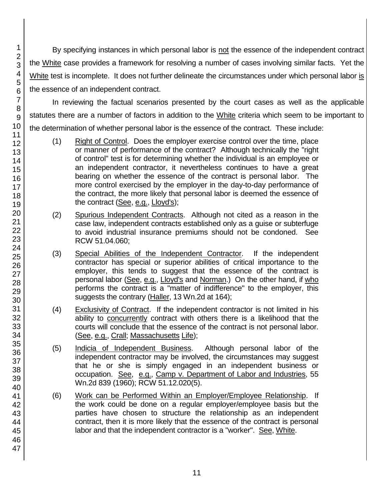By specifying instances in which personal labor is not the essence of the independent contract the White case provides a framework for resolving a number of cases involving similar facts. Yet the White test is incomplete. It does not further delineate the circumstances under which personal labor is the essence of an independent contract.

In reviewing the factual scenarios presented by the court cases as well as the applicable statutes there are a number of factors in addition to the White criteria which seem to be important to the determination of whether personal labor is the essence of the contract. These include:

- (1) Right of Control. Does the employer exercise control over the time, place or manner of performance of the contract? Although technically the "right of control" test is for determining whether the individual is an employee or an independent contractor, it nevertheless continues to have a great bearing on whether the essence of the contract is personal labor. The more control exercised by the employer in the day-to-day performance of the contract, the more likely that personal labor is deemed the essence of the contract (See, e.g., Lloyd's);
- (2) Spurious Independent Contracts. Although not cited as a reason in the case law, independent contracts established only as a guise or subterfuge to avoid industrial insurance premiums should not be condoned. See RCW 51.04.060;
- (3) Special Abilities of the Independent Contractor. If the independent contractor has special or superior abilities of critical importance to the employer, this tends to suggest that the essence of the contract is personal labor (See, e.g., Lloyd's and Norman.) On the other hand, if who performs the contract is a "matter of indifference" to the employer, this suggests the contrary (Haller, 13 Wn.2d at 164);
- (4) Exclusivity of Contract. If the independent contractor is not limited in his ability to concurrently contract with others there is a likelihood that the courts will conclude that the essence of the contract is not personal labor. (See, e.g., Crall; Massachusetts Life);
- (5) Indicia of Independent Business. Although personal labor of the independent contractor may be involved, the circumstances may suggest that he or she is simply engaged in an independent business or occupation. See, e.g., Camp v. Department of Labor and Industries, 55 Wn.2d 839 (1960); RCW 51.12.020(5).
- (6) Work can be Performed Within an Employer/Employee Relationship. If the work could be done on a regular employer/employee basis but the parties have chosen to structure the relationship as an independent contract, then it is more likely that the essence of the contract is personal labor and that the independent contractor is a "worker". See, White.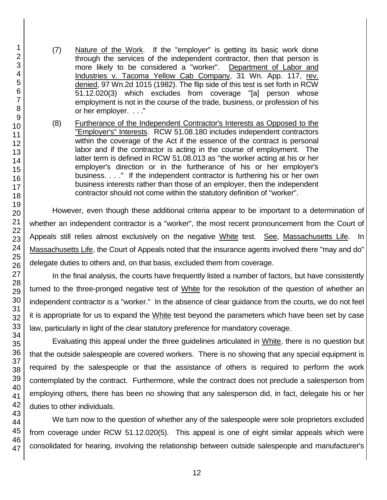- (7) Nature of the Work. If the "employer" is getting its basic work done through the services of the independent contractor, then that person is more likely to be considered a "worker". Department of Labor and Industries v. Tacoma Yellow Cab Company, 31 Wn. App. 117, rev. denied, 97 Wn.2d 1015 (1982). The flip side of this test is set forth in RCW 51.12.020(3) which excludes from coverage "[a] person whose employment is not in the course of the trade, business, or profession of his or her employer. . . ."
- (8) Furtherance of the Independent Contractor's Interests as Opposed to the "Employer's" Interests. RCW 51.08.180 includes independent contractors within the coverage of the Act if the essence of the contract is personal labor and if the contractor is acting in the course of employment. The latter term is defined in RCW 51.08.013 as "the worker acting at his or her employer's direction or in the furtherance of his or her employer's business. . . ." If the independent contractor is furthering his or her own business interests rather than those of an employer, then the independent contractor should not come within the statutory definition of "worker".

However, even though these additional criteria appear to be important to a determination of whether an independent contractor is a "worker", the most recent pronouncement from the Court of Appeals still relies almost exclusively on the negative White test. See, Massachusetts Life. In Massachusetts Life, the Court of Appeals noted that the insurance agents involved there "may and do" delegate duties to others and, on that basis, excluded them from coverage.

In the final analysis, the courts have frequently listed a number of factors, but have consistently turned to the three-pronged negative test of White for the resolution of the question of whether an independent contractor is a "worker." In the absence of clear guidance from the courts, we do not feel it is appropriate for us to expand the White test beyond the parameters which have been set by case law, particularly in light of the clear statutory preference for mandatory coverage.

Evaluating this appeal under the three guidelines articulated in White, there is no question but that the outside salespeople are covered workers. There is no showing that any special equipment is required by the salespeople or that the assistance of others is required to perform the work contemplated by the contract. Furthermore, while the contract does not preclude a salesperson from employing others, there has been no showing that any salesperson did, in fact, delegate his or her duties to other individuals.

We turn now to the question of whether any of the salespeople were sole proprietors excluded from coverage under RCW 51.12.020(5). This appeal is one of eight similar appeals which were consolidated for hearing, involving the relationship between outside salespeople and manufacturer's